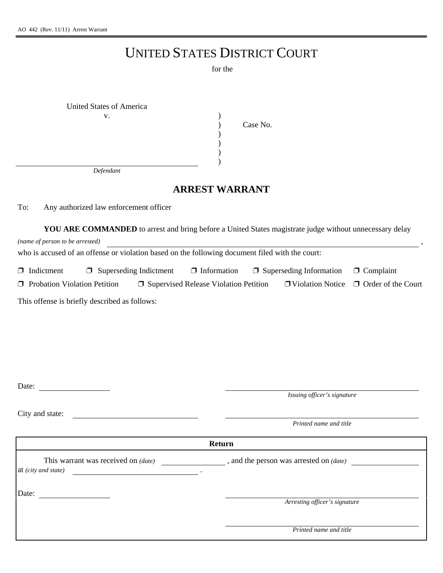## UNITED STATES DISTRICT COURT

for the

| United States of America |          |
|--------------------------|----------|
| v.                       |          |
|                          | Case No. |
|                          |          |
|                          |          |
|                          |          |
|                          |          |

*Defendant*

## **ARREST WARRANT**

To: Any authorized law enforcement officer

| (name of person to be arrested)               |        |                             |                                                                                                 |  | <b>YOU ARE COMMANDED</b> to arrest and bring before a United States magistrate judge without unnecessary delay |                           |
|-----------------------------------------------|--------|-----------------------------|-------------------------------------------------------------------------------------------------|--|----------------------------------------------------------------------------------------------------------------|---------------------------|
|                                               |        |                             | who is accused of an offense or violation based on the following document filed with the court: |  |                                                                                                                |                           |
| $\Box$ Indictment                             | $\Box$ | Superseding Indictment      | $\Box$ Information                                                                              |  | $\Box$ Superseding Information                                                                                 | $\Box$ Complaint          |
| $\Box$ Probation Violation Petition           |        |                             | $\Box$ Supervised Release Violation Petition                                                    |  | $\Box$ Violation Notice                                                                                        | $\Box$ Order of the Court |
| This offense is briefly described as follows: |        |                             |                                                                                                 |  |                                                                                                                |                           |
|                                               |        |                             |                                                                                                 |  |                                                                                                                |                           |
|                                               |        |                             |                                                                                                 |  |                                                                                                                |                           |
|                                               |        |                             |                                                                                                 |  |                                                                                                                |                           |
|                                               |        |                             |                                                                                                 |  |                                                                                                                |                           |
| Date:                                         |        | Issuing officer's signature |                                                                                                 |  |                                                                                                                |                           |
| City and state:                               |        |                             |                                                                                                 |  |                                                                                                                |                           |

*Printed name and title*

**Return** This warrant was received on *(date)* , and the person was arrested on *(date)* at *(city and state)* . Date: *Arresting officer's signature Printed name and title*